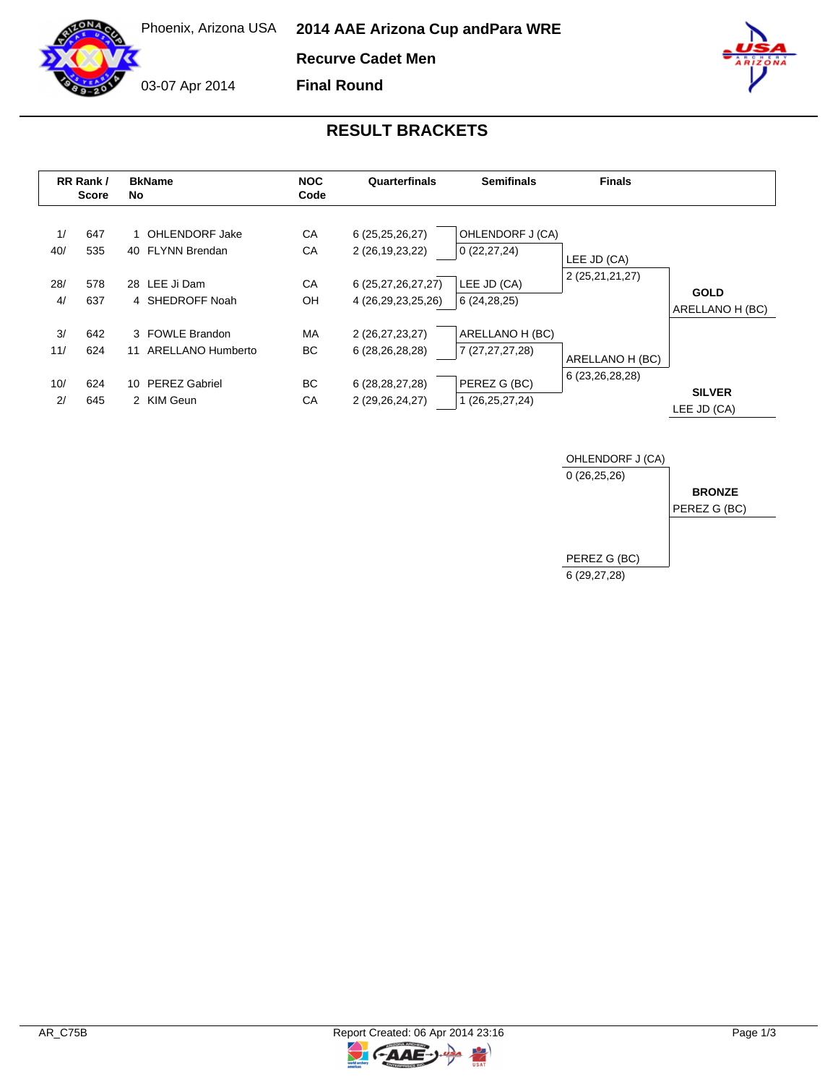

Phoenix, Arizona USA **2014 AAE Arizona Cup and Para WRE**

**Recurve Cadet Men**

03-07 Apr 2014

**Final Round**

## **RESULT BRACKETS**

|                        | RR Rank /<br><b>Score</b> | <b>BkName</b><br>No                                                                    | <b>NOC</b><br>Code            | Quarterfinals                                                                        | <b>Semifinals</b>                                                     | <b>Finals</b>                      |                                |
|------------------------|---------------------------|----------------------------------------------------------------------------------------|-------------------------------|--------------------------------------------------------------------------------------|-----------------------------------------------------------------------|------------------------------------|--------------------------------|
| 1/<br>40/<br>28/<br>4/ | 647<br>535<br>578<br>637  | 1 OHLENDORF Jake<br>40 FLYNN Brendan<br>28 LEE Ji Dam<br>4 SHEDROFF Noah               | CA<br>CA<br>CA<br>OH          | 6(25,25,26,27)<br>2 (26, 19, 23, 22)<br>6 (25,27,26,27,27)<br>4 (26, 29, 23, 25, 26) | OHLENDORF J (CA)<br>0(22, 27, 24)<br>LEE JD (CA)<br>6 (24,28,25)      | LEE JD (CA)<br>2 (25,21,21,27)     | <b>GOLD</b><br>ARELLANO H (BC) |
| 3/<br>11/<br>10/<br>2/ | 642<br>624<br>624<br>645  | 3 FOWLE Brandon<br>ARELLANO Humberto<br>11<br><b>PEREZ Gabriel</b><br>10<br>2 KIM Geun | <b>MA</b><br>BC.<br>BC.<br>CA | 2 (26,27,23,27)<br>6 (28, 26, 28, 28)<br>6 (28, 28, 27, 28)<br>2 (29, 26, 24, 27)    | ARELLANO H (BC)<br>7 (27,27,27,28)<br>PEREZ G (BC)<br>1 (26,25,27,24) | ARELLANO H (BC)<br>6 (23,26,28,28) | <b>SILVER</b><br>LEE JD (CA)   |



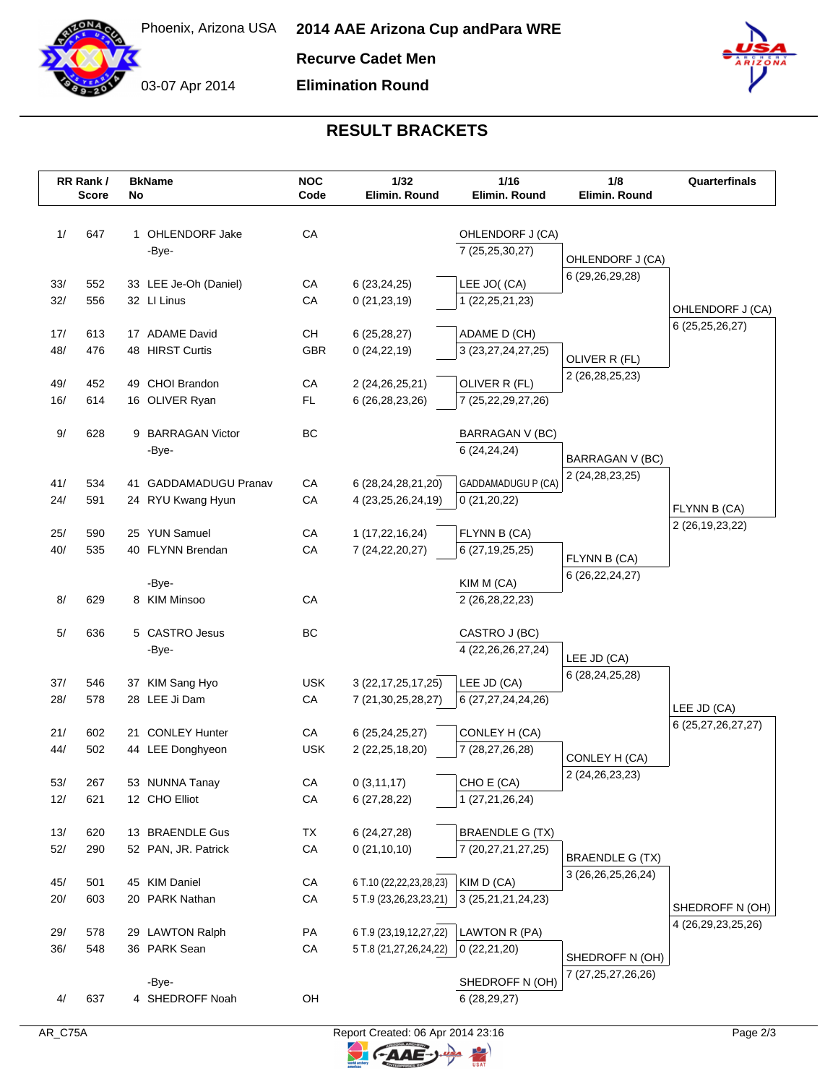

03-07 Apr 2014

**Recurve Cadet Men**

**Elimination Round**



## **RESULT BRACKETS**

| CA<br>1/<br>647<br>1 OHLENDORF Jake<br>OHLENDORF J (CA)<br>-Bye-<br>7 (25,25,30,27)<br>OHLENDORF J (CA)<br>6 (29,26,29,28)<br>LEE JO((CA)<br>33/<br>552<br>33 LEE Je-Oh (Daniel)<br>CA<br>6(23,24,25)<br>32/<br>556<br>CA<br>32 LI Linus<br>0(21, 23, 19)<br>1 (22, 25, 21, 23)<br>OHLENDORF J (CA)<br>6 (25, 25, 26, 27)<br>CH<br>17/<br>613<br>17 ADAME David<br>6(25, 28, 27)<br>ADAME D (CH)<br>48/<br>476<br>48 HIRST Curtis<br>GBR<br>0(24, 22, 19)<br>3 (23,27,24,27,25)<br>OLIVER R (FL)<br>2 (26, 28, 25, 23)<br>452<br>49 CHOI Brandon<br>CA<br>OLIVER R (FL)<br>49/<br>2 (24, 26, 25, 21)<br>614<br>16 OLIVER Ryan<br><b>FL</b><br>16/<br>6 (26, 28, 23, 26)<br>7 (25,22,29,27,26)<br>BC<br>9/<br>628<br>9 BARRAGAN Victor<br>BARRAGAN V (BC)<br>-Bye-<br>6(24,24,24)<br>BARRAGAN V (BC)<br>2 (24, 28, 23, 25)<br>CA<br>GADDAMADUGU P (CA)<br>41/<br>534<br>41 GADDAMADUGU Pranav<br>6 (28,24,28,21,20)<br>24/<br>591<br>24 RYU Kwang Hyun<br>СA<br>4 (23, 25, 26, 24, 19)<br>0(21,20,22)<br>FLYNN B (CA)<br>2 (26, 19, 23, 22)<br>25/<br>25 YUN Samuel<br>CA<br>1(17,22,16,24)<br>FLYNN B (CA)<br>590<br>40/<br>535<br>40 FLYNN Brendan<br>CA<br>7 (24, 22, 20, 27)<br>6 (27, 19, 25, 25)<br>FLYNN B (CA)<br>6 (26, 22, 24, 27)<br>-Bye-<br>KIM M (CA)<br>CA<br>8/<br>629<br>8 KIM Minsoo<br>2 (26,28,22,23)<br>5 CASTRO Jesus<br>BC<br>5/<br>636<br>CASTRO J (BC)<br>-Bye-<br>4 (22, 26, 26, 27, 24)<br>LEE JD (CA)<br>6 (28, 24, 25, 28)<br>37/<br><b>USK</b><br>LEE JD (CA)<br>546<br>37 KIM Sang Hyo<br>3 (22, 17, 25, 17, 25)<br>28/<br>578<br>28 LEE Ji Dam<br>CA<br>7 (21,30,25,28,27)<br>6 (27,27,24,24,26)<br>LEE JD (CA)<br>6 (25,27,26,27,27)<br>21/<br>602<br>21 CONLEY Hunter<br>CA<br>CONLEY H (CA)<br>6 (25,24,25,27)<br>44/<br>502<br><b>USK</b><br>44 LEE Donghyeon<br>2 (22, 25, 18, 20)<br>7 (28,27,26,28)<br>CONLEY H (CA)<br>2 (24, 26, 23, 23)<br>CHO E (CA)<br>$53/$<br>267<br>CA<br>0(3,11,17)<br>53 NUNNA Tanay<br>12/<br>12 CHO Elliot<br>CA<br>1 (27,21,26,24)<br>621<br>6(27, 28, 22)<br><b>BRAENDLE G (TX)</b><br>13/<br>620<br>13 BRAENDLE Gus<br>TX<br>6 (24,27,28)<br>52/<br>290<br>52 PAN, JR. Patrick<br>CA<br>0(21, 10, 10)<br>7 (20,27,21,27,25)<br><b>BRAENDLE G (TX)</b><br>3 (26, 26, 25, 26, 24)<br>45 KIM Daniel<br>6 T.10 (22,22,23,28,23)<br>KIM D (CA)<br>45/<br>501<br>CA<br>20/<br>20 PARK Nathan<br>3 (25,21,21,24,23)<br>603<br>CA<br>5 T.9 (23,26,23,23,21)<br>4 (26, 29, 23, 25, 26)<br>29 LAWTON Ralph<br>LAWTON R (PA)<br>29/<br>578<br>PA<br>6 T.9 (23,19,12,27,22)<br>36/<br>548<br>36 PARK Sean<br>CA<br>5 T.8 (21,27,26,24,22)<br>0(22,21,20)<br>SHEDROFF N (OH)<br>7 (27, 25, 27, 26, 26)<br>SHEDROFF N (OH)<br>-Bye-<br>OH<br>4/<br>637<br>4 SHEDROFF Noah<br>6(28, 29, 27) | RR Rank /<br><b>Score</b> | No | <b>BkName</b> | <b>NOC</b><br>Code | 1/32<br><b>Elimin, Round</b> | 1/16<br>Elimin, Round | 1/8<br>Elimin. Round | Quarterfinals   |
|---------------------------------------------------------------------------------------------------------------------------------------------------------------------------------------------------------------------------------------------------------------------------------------------------------------------------------------------------------------------------------------------------------------------------------------------------------------------------------------------------------------------------------------------------------------------------------------------------------------------------------------------------------------------------------------------------------------------------------------------------------------------------------------------------------------------------------------------------------------------------------------------------------------------------------------------------------------------------------------------------------------------------------------------------------------------------------------------------------------------------------------------------------------------------------------------------------------------------------------------------------------------------------------------------------------------------------------------------------------------------------------------------------------------------------------------------------------------------------------------------------------------------------------------------------------------------------------------------------------------------------------------------------------------------------------------------------------------------------------------------------------------------------------------------------------------------------------------------------------------------------------------------------------------------------------------------------------------------------------------------------------------------------------------------------------------------------------------------------------------------------------------------------------------------------------------------------------------------------------------------------------------------------------------------------------------------------------------------------------------------------------------------------------------------------------------------------------------------------------------------------------------------------------------------------------------------------------------------------------------------------------------------------------------------------------------------------------------------------------------------|---------------------------|----|---------------|--------------------|------------------------------|-----------------------|----------------------|-----------------|
|                                                                                                                                                                                                                                                                                                                                                                                                                                                                                                                                                                                                                                                                                                                                                                                                                                                                                                                                                                                                                                                                                                                                                                                                                                                                                                                                                                                                                                                                                                                                                                                                                                                                                                                                                                                                                                                                                                                                                                                                                                                                                                                                                                                                                                                                                                                                                                                                                                                                                                                                                                                                                                                                                                                                                   |                           |    |               |                    |                              |                       |                      |                 |
|                                                                                                                                                                                                                                                                                                                                                                                                                                                                                                                                                                                                                                                                                                                                                                                                                                                                                                                                                                                                                                                                                                                                                                                                                                                                                                                                                                                                                                                                                                                                                                                                                                                                                                                                                                                                                                                                                                                                                                                                                                                                                                                                                                                                                                                                                                                                                                                                                                                                                                                                                                                                                                                                                                                                                   |                           |    |               |                    |                              |                       |                      |                 |
|                                                                                                                                                                                                                                                                                                                                                                                                                                                                                                                                                                                                                                                                                                                                                                                                                                                                                                                                                                                                                                                                                                                                                                                                                                                                                                                                                                                                                                                                                                                                                                                                                                                                                                                                                                                                                                                                                                                                                                                                                                                                                                                                                                                                                                                                                                                                                                                                                                                                                                                                                                                                                                                                                                                                                   |                           |    |               |                    |                              |                       |                      |                 |
|                                                                                                                                                                                                                                                                                                                                                                                                                                                                                                                                                                                                                                                                                                                                                                                                                                                                                                                                                                                                                                                                                                                                                                                                                                                                                                                                                                                                                                                                                                                                                                                                                                                                                                                                                                                                                                                                                                                                                                                                                                                                                                                                                                                                                                                                                                                                                                                                                                                                                                                                                                                                                                                                                                                                                   |                           |    |               |                    |                              |                       |                      |                 |
|                                                                                                                                                                                                                                                                                                                                                                                                                                                                                                                                                                                                                                                                                                                                                                                                                                                                                                                                                                                                                                                                                                                                                                                                                                                                                                                                                                                                                                                                                                                                                                                                                                                                                                                                                                                                                                                                                                                                                                                                                                                                                                                                                                                                                                                                                                                                                                                                                                                                                                                                                                                                                                                                                                                                                   |                           |    |               |                    |                              |                       |                      |                 |
|                                                                                                                                                                                                                                                                                                                                                                                                                                                                                                                                                                                                                                                                                                                                                                                                                                                                                                                                                                                                                                                                                                                                                                                                                                                                                                                                                                                                                                                                                                                                                                                                                                                                                                                                                                                                                                                                                                                                                                                                                                                                                                                                                                                                                                                                                                                                                                                                                                                                                                                                                                                                                                                                                                                                                   |                           |    |               |                    |                              |                       |                      |                 |
|                                                                                                                                                                                                                                                                                                                                                                                                                                                                                                                                                                                                                                                                                                                                                                                                                                                                                                                                                                                                                                                                                                                                                                                                                                                                                                                                                                                                                                                                                                                                                                                                                                                                                                                                                                                                                                                                                                                                                                                                                                                                                                                                                                                                                                                                                                                                                                                                                                                                                                                                                                                                                                                                                                                                                   |                           |    |               |                    |                              |                       |                      |                 |
|                                                                                                                                                                                                                                                                                                                                                                                                                                                                                                                                                                                                                                                                                                                                                                                                                                                                                                                                                                                                                                                                                                                                                                                                                                                                                                                                                                                                                                                                                                                                                                                                                                                                                                                                                                                                                                                                                                                                                                                                                                                                                                                                                                                                                                                                                                                                                                                                                                                                                                                                                                                                                                                                                                                                                   |                           |    |               |                    |                              |                       |                      |                 |
|                                                                                                                                                                                                                                                                                                                                                                                                                                                                                                                                                                                                                                                                                                                                                                                                                                                                                                                                                                                                                                                                                                                                                                                                                                                                                                                                                                                                                                                                                                                                                                                                                                                                                                                                                                                                                                                                                                                                                                                                                                                                                                                                                                                                                                                                                                                                                                                                                                                                                                                                                                                                                                                                                                                                                   |                           |    |               |                    |                              |                       |                      |                 |
|                                                                                                                                                                                                                                                                                                                                                                                                                                                                                                                                                                                                                                                                                                                                                                                                                                                                                                                                                                                                                                                                                                                                                                                                                                                                                                                                                                                                                                                                                                                                                                                                                                                                                                                                                                                                                                                                                                                                                                                                                                                                                                                                                                                                                                                                                                                                                                                                                                                                                                                                                                                                                                                                                                                                                   |                           |    |               |                    |                              |                       |                      |                 |
|                                                                                                                                                                                                                                                                                                                                                                                                                                                                                                                                                                                                                                                                                                                                                                                                                                                                                                                                                                                                                                                                                                                                                                                                                                                                                                                                                                                                                                                                                                                                                                                                                                                                                                                                                                                                                                                                                                                                                                                                                                                                                                                                                                                                                                                                                                                                                                                                                                                                                                                                                                                                                                                                                                                                                   |                           |    |               |                    |                              |                       |                      |                 |
|                                                                                                                                                                                                                                                                                                                                                                                                                                                                                                                                                                                                                                                                                                                                                                                                                                                                                                                                                                                                                                                                                                                                                                                                                                                                                                                                                                                                                                                                                                                                                                                                                                                                                                                                                                                                                                                                                                                                                                                                                                                                                                                                                                                                                                                                                                                                                                                                                                                                                                                                                                                                                                                                                                                                                   |                           |    |               |                    |                              |                       |                      |                 |
|                                                                                                                                                                                                                                                                                                                                                                                                                                                                                                                                                                                                                                                                                                                                                                                                                                                                                                                                                                                                                                                                                                                                                                                                                                                                                                                                                                                                                                                                                                                                                                                                                                                                                                                                                                                                                                                                                                                                                                                                                                                                                                                                                                                                                                                                                                                                                                                                                                                                                                                                                                                                                                                                                                                                                   |                           |    |               |                    |                              |                       |                      |                 |
|                                                                                                                                                                                                                                                                                                                                                                                                                                                                                                                                                                                                                                                                                                                                                                                                                                                                                                                                                                                                                                                                                                                                                                                                                                                                                                                                                                                                                                                                                                                                                                                                                                                                                                                                                                                                                                                                                                                                                                                                                                                                                                                                                                                                                                                                                                                                                                                                                                                                                                                                                                                                                                                                                                                                                   |                           |    |               |                    |                              |                       |                      |                 |
|                                                                                                                                                                                                                                                                                                                                                                                                                                                                                                                                                                                                                                                                                                                                                                                                                                                                                                                                                                                                                                                                                                                                                                                                                                                                                                                                                                                                                                                                                                                                                                                                                                                                                                                                                                                                                                                                                                                                                                                                                                                                                                                                                                                                                                                                                                                                                                                                                                                                                                                                                                                                                                                                                                                                                   |                           |    |               |                    |                              |                       |                      |                 |
|                                                                                                                                                                                                                                                                                                                                                                                                                                                                                                                                                                                                                                                                                                                                                                                                                                                                                                                                                                                                                                                                                                                                                                                                                                                                                                                                                                                                                                                                                                                                                                                                                                                                                                                                                                                                                                                                                                                                                                                                                                                                                                                                                                                                                                                                                                                                                                                                                                                                                                                                                                                                                                                                                                                                                   |                           |    |               |                    |                              |                       |                      |                 |
|                                                                                                                                                                                                                                                                                                                                                                                                                                                                                                                                                                                                                                                                                                                                                                                                                                                                                                                                                                                                                                                                                                                                                                                                                                                                                                                                                                                                                                                                                                                                                                                                                                                                                                                                                                                                                                                                                                                                                                                                                                                                                                                                                                                                                                                                                                                                                                                                                                                                                                                                                                                                                                                                                                                                                   |                           |    |               |                    |                              |                       |                      |                 |
|                                                                                                                                                                                                                                                                                                                                                                                                                                                                                                                                                                                                                                                                                                                                                                                                                                                                                                                                                                                                                                                                                                                                                                                                                                                                                                                                                                                                                                                                                                                                                                                                                                                                                                                                                                                                                                                                                                                                                                                                                                                                                                                                                                                                                                                                                                                                                                                                                                                                                                                                                                                                                                                                                                                                                   |                           |    |               |                    |                              |                       |                      |                 |
|                                                                                                                                                                                                                                                                                                                                                                                                                                                                                                                                                                                                                                                                                                                                                                                                                                                                                                                                                                                                                                                                                                                                                                                                                                                                                                                                                                                                                                                                                                                                                                                                                                                                                                                                                                                                                                                                                                                                                                                                                                                                                                                                                                                                                                                                                                                                                                                                                                                                                                                                                                                                                                                                                                                                                   |                           |    |               |                    |                              |                       |                      |                 |
|                                                                                                                                                                                                                                                                                                                                                                                                                                                                                                                                                                                                                                                                                                                                                                                                                                                                                                                                                                                                                                                                                                                                                                                                                                                                                                                                                                                                                                                                                                                                                                                                                                                                                                                                                                                                                                                                                                                                                                                                                                                                                                                                                                                                                                                                                                                                                                                                                                                                                                                                                                                                                                                                                                                                                   |                           |    |               |                    |                              |                       |                      |                 |
|                                                                                                                                                                                                                                                                                                                                                                                                                                                                                                                                                                                                                                                                                                                                                                                                                                                                                                                                                                                                                                                                                                                                                                                                                                                                                                                                                                                                                                                                                                                                                                                                                                                                                                                                                                                                                                                                                                                                                                                                                                                                                                                                                                                                                                                                                                                                                                                                                                                                                                                                                                                                                                                                                                                                                   |                           |    |               |                    |                              |                       |                      |                 |
|                                                                                                                                                                                                                                                                                                                                                                                                                                                                                                                                                                                                                                                                                                                                                                                                                                                                                                                                                                                                                                                                                                                                                                                                                                                                                                                                                                                                                                                                                                                                                                                                                                                                                                                                                                                                                                                                                                                                                                                                                                                                                                                                                                                                                                                                                                                                                                                                                                                                                                                                                                                                                                                                                                                                                   |                           |    |               |                    |                              |                       |                      |                 |
|                                                                                                                                                                                                                                                                                                                                                                                                                                                                                                                                                                                                                                                                                                                                                                                                                                                                                                                                                                                                                                                                                                                                                                                                                                                                                                                                                                                                                                                                                                                                                                                                                                                                                                                                                                                                                                                                                                                                                                                                                                                                                                                                                                                                                                                                                                                                                                                                                                                                                                                                                                                                                                                                                                                                                   |                           |    |               |                    |                              |                       |                      |                 |
|                                                                                                                                                                                                                                                                                                                                                                                                                                                                                                                                                                                                                                                                                                                                                                                                                                                                                                                                                                                                                                                                                                                                                                                                                                                                                                                                                                                                                                                                                                                                                                                                                                                                                                                                                                                                                                                                                                                                                                                                                                                                                                                                                                                                                                                                                                                                                                                                                                                                                                                                                                                                                                                                                                                                                   |                           |    |               |                    |                              |                       |                      |                 |
|                                                                                                                                                                                                                                                                                                                                                                                                                                                                                                                                                                                                                                                                                                                                                                                                                                                                                                                                                                                                                                                                                                                                                                                                                                                                                                                                                                                                                                                                                                                                                                                                                                                                                                                                                                                                                                                                                                                                                                                                                                                                                                                                                                                                                                                                                                                                                                                                                                                                                                                                                                                                                                                                                                                                                   |                           |    |               |                    |                              |                       |                      |                 |
|                                                                                                                                                                                                                                                                                                                                                                                                                                                                                                                                                                                                                                                                                                                                                                                                                                                                                                                                                                                                                                                                                                                                                                                                                                                                                                                                                                                                                                                                                                                                                                                                                                                                                                                                                                                                                                                                                                                                                                                                                                                                                                                                                                                                                                                                                                                                                                                                                                                                                                                                                                                                                                                                                                                                                   |                           |    |               |                    |                              |                       |                      |                 |
|                                                                                                                                                                                                                                                                                                                                                                                                                                                                                                                                                                                                                                                                                                                                                                                                                                                                                                                                                                                                                                                                                                                                                                                                                                                                                                                                                                                                                                                                                                                                                                                                                                                                                                                                                                                                                                                                                                                                                                                                                                                                                                                                                                                                                                                                                                                                                                                                                                                                                                                                                                                                                                                                                                                                                   |                           |    |               |                    |                              |                       |                      |                 |
|                                                                                                                                                                                                                                                                                                                                                                                                                                                                                                                                                                                                                                                                                                                                                                                                                                                                                                                                                                                                                                                                                                                                                                                                                                                                                                                                                                                                                                                                                                                                                                                                                                                                                                                                                                                                                                                                                                                                                                                                                                                                                                                                                                                                                                                                                                                                                                                                                                                                                                                                                                                                                                                                                                                                                   |                           |    |               |                    |                              |                       |                      |                 |
|                                                                                                                                                                                                                                                                                                                                                                                                                                                                                                                                                                                                                                                                                                                                                                                                                                                                                                                                                                                                                                                                                                                                                                                                                                                                                                                                                                                                                                                                                                                                                                                                                                                                                                                                                                                                                                                                                                                                                                                                                                                                                                                                                                                                                                                                                                                                                                                                                                                                                                                                                                                                                                                                                                                                                   |                           |    |               |                    |                              |                       |                      |                 |
|                                                                                                                                                                                                                                                                                                                                                                                                                                                                                                                                                                                                                                                                                                                                                                                                                                                                                                                                                                                                                                                                                                                                                                                                                                                                                                                                                                                                                                                                                                                                                                                                                                                                                                                                                                                                                                                                                                                                                                                                                                                                                                                                                                                                                                                                                                                                                                                                                                                                                                                                                                                                                                                                                                                                                   |                           |    |               |                    |                              |                       |                      |                 |
|                                                                                                                                                                                                                                                                                                                                                                                                                                                                                                                                                                                                                                                                                                                                                                                                                                                                                                                                                                                                                                                                                                                                                                                                                                                                                                                                                                                                                                                                                                                                                                                                                                                                                                                                                                                                                                                                                                                                                                                                                                                                                                                                                                                                                                                                                                                                                                                                                                                                                                                                                                                                                                                                                                                                                   |                           |    |               |                    |                              |                       |                      |                 |
|                                                                                                                                                                                                                                                                                                                                                                                                                                                                                                                                                                                                                                                                                                                                                                                                                                                                                                                                                                                                                                                                                                                                                                                                                                                                                                                                                                                                                                                                                                                                                                                                                                                                                                                                                                                                                                                                                                                                                                                                                                                                                                                                                                                                                                                                                                                                                                                                                                                                                                                                                                                                                                                                                                                                                   |                           |    |               |                    |                              |                       |                      |                 |
|                                                                                                                                                                                                                                                                                                                                                                                                                                                                                                                                                                                                                                                                                                                                                                                                                                                                                                                                                                                                                                                                                                                                                                                                                                                                                                                                                                                                                                                                                                                                                                                                                                                                                                                                                                                                                                                                                                                                                                                                                                                                                                                                                                                                                                                                                                                                                                                                                                                                                                                                                                                                                                                                                                                                                   |                           |    |               |                    |                              |                       |                      |                 |
|                                                                                                                                                                                                                                                                                                                                                                                                                                                                                                                                                                                                                                                                                                                                                                                                                                                                                                                                                                                                                                                                                                                                                                                                                                                                                                                                                                                                                                                                                                                                                                                                                                                                                                                                                                                                                                                                                                                                                                                                                                                                                                                                                                                                                                                                                                                                                                                                                                                                                                                                                                                                                                                                                                                                                   |                           |    |               |                    |                              |                       |                      |                 |
|                                                                                                                                                                                                                                                                                                                                                                                                                                                                                                                                                                                                                                                                                                                                                                                                                                                                                                                                                                                                                                                                                                                                                                                                                                                                                                                                                                                                                                                                                                                                                                                                                                                                                                                                                                                                                                                                                                                                                                                                                                                                                                                                                                                                                                                                                                                                                                                                                                                                                                                                                                                                                                                                                                                                                   |                           |    |               |                    |                              |                       |                      |                 |
|                                                                                                                                                                                                                                                                                                                                                                                                                                                                                                                                                                                                                                                                                                                                                                                                                                                                                                                                                                                                                                                                                                                                                                                                                                                                                                                                                                                                                                                                                                                                                                                                                                                                                                                                                                                                                                                                                                                                                                                                                                                                                                                                                                                                                                                                                                                                                                                                                                                                                                                                                                                                                                                                                                                                                   |                           |    |               |                    |                              |                       |                      | SHEDROFF N (OH) |
|                                                                                                                                                                                                                                                                                                                                                                                                                                                                                                                                                                                                                                                                                                                                                                                                                                                                                                                                                                                                                                                                                                                                                                                                                                                                                                                                                                                                                                                                                                                                                                                                                                                                                                                                                                                                                                                                                                                                                                                                                                                                                                                                                                                                                                                                                                                                                                                                                                                                                                                                                                                                                                                                                                                                                   |                           |    |               |                    |                              |                       |                      |                 |
|                                                                                                                                                                                                                                                                                                                                                                                                                                                                                                                                                                                                                                                                                                                                                                                                                                                                                                                                                                                                                                                                                                                                                                                                                                                                                                                                                                                                                                                                                                                                                                                                                                                                                                                                                                                                                                                                                                                                                                                                                                                                                                                                                                                                                                                                                                                                                                                                                                                                                                                                                                                                                                                                                                                                                   |                           |    |               |                    |                              |                       |                      |                 |
|                                                                                                                                                                                                                                                                                                                                                                                                                                                                                                                                                                                                                                                                                                                                                                                                                                                                                                                                                                                                                                                                                                                                                                                                                                                                                                                                                                                                                                                                                                                                                                                                                                                                                                                                                                                                                                                                                                                                                                                                                                                                                                                                                                                                                                                                                                                                                                                                                                                                                                                                                                                                                                                                                                                                                   |                           |    |               |                    |                              |                       |                      |                 |
|                                                                                                                                                                                                                                                                                                                                                                                                                                                                                                                                                                                                                                                                                                                                                                                                                                                                                                                                                                                                                                                                                                                                                                                                                                                                                                                                                                                                                                                                                                                                                                                                                                                                                                                                                                                                                                                                                                                                                                                                                                                                                                                                                                                                                                                                                                                                                                                                                                                                                                                                                                                                                                                                                                                                                   |                           |    |               |                    |                              |                       |                      |                 |
|                                                                                                                                                                                                                                                                                                                                                                                                                                                                                                                                                                                                                                                                                                                                                                                                                                                                                                                                                                                                                                                                                                                                                                                                                                                                                                                                                                                                                                                                                                                                                                                                                                                                                                                                                                                                                                                                                                                                                                                                                                                                                                                                                                                                                                                                                                                                                                                                                                                                                                                                                                                                                                                                                                                                                   |                           |    |               |                    |                              |                       |                      |                 |

 $\overline{z}$ 

C-AAE-J-